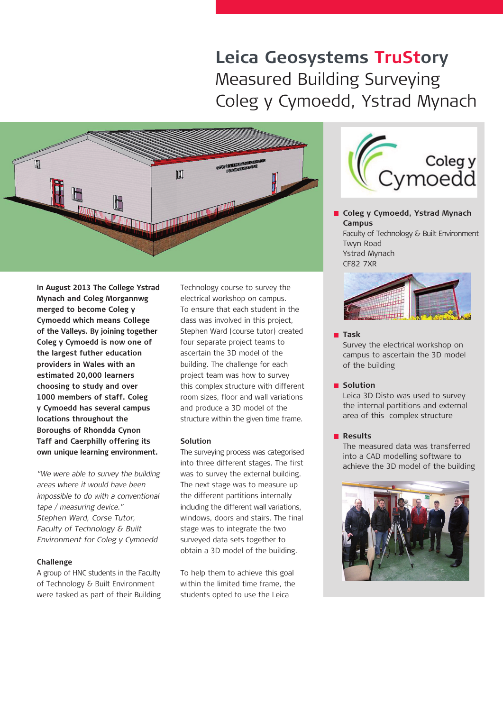# **Leica Geosystems TruStory** Measured Building Surveying Coleg y Cymoedd, Ystrad Mynach



**In August 2013 The College Ystrad Mynach and Coleg Morgannwg merged to become Coleg y Cymoedd which means College of the Valleys. By joining together Coleg y Cymoedd is now one of the largest futher education providers in Wales with an estimated 20,000 learners choosing to study and over 1000 members of staff. Coleg y Cymoedd has several campus locations throughout the Boroughs of Rhondda Cynon Taff and Caerphilly offering its own unique learning environment.**

"We were able to survey the building areas where it would have been impossible to do with a conventional tape / measuring device." Stephen Ward, Corse Tutor, Faculty of Technology & Built Environment for Coleg y Cymoedd

# **Challenge**

A group of HNC students in the Faculty of Technology & Built Environment were tasked as part of their Building Technology course to survey the electrical workshop on campus. To ensure that each student in the class was involved in this project, Stephen Ward (course tutor) created four separate project teams to ascertain the 3D model of the building. The challenge for each project team was how to survey this complex structure with different room sizes, floor and wall variations and produce a 3D model of the structure within the given time frame.

## **Solution**

The surveying process was categorised into three different stages. The first was to survey the external building. The next stage was to measure up the different partitions internally including the different wall variations, windows, doors and stairs. The final stage was to integrate the two surveyed data sets together to obtain a 3D model of the building.

To help them to achieve this goal within the limited time frame, the students opted to use the Leica



**Coleg y Cymoedd, Ystrad Mynach Campus** Faculty of Technology & Built Environment Twyn Road Ystrad Mynach





#### **Task**

Survey the electrical workshop on campus to ascertain the 3D model of the building

# **Solution**

Leica 3D Disto was used to survey the internal partitions and external area of this complex structure

# **Results**

The measured data was transferred into a CAD modelling software to achieve the 3D model of the building